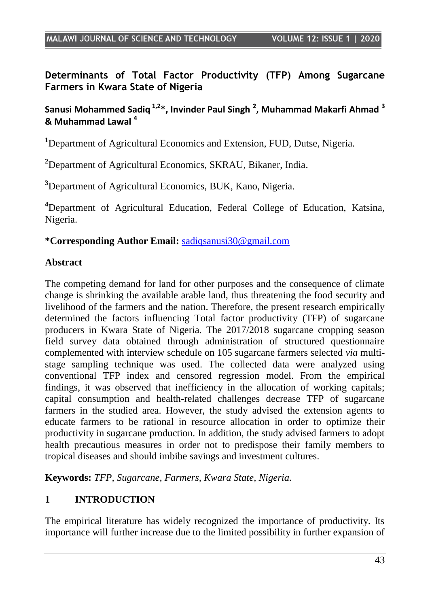**Determinants of Total Factor Productivity (TFP) Among Sugarcane Farmers in Kwara State of Nigeria**

### **Sanusi Mohammed Sadiq 1,2\*, Invinder Paul Singh <sup>2</sup> , Muhammad Makarfi Ahmad <sup>3</sup> & Muhammad Lawal <sup>4</sup>**

**<sup>1</sup>**Department of Agricultural Economics and Extension, FUD, Dutse, Nigeria.

**<sup>2</sup>**Department of Agricultural Economics, SKRAU, Bikaner, India.

**<sup>3</sup>**Department of Agricultural Economics, BUK, Kano, Nigeria.

**<sup>4</sup>**Department of Agricultural Education, Federal College of Education, Katsina, Nigeria.

#### **\*Corresponding Author Email:** [sadiqsanusi30@gmail.com](mailto:sadiqsanusi30@gmail.com)

#### **Abstract**

The competing demand for land for other purposes and the consequence of climate change is shrinking the available arable land, thus threatening the food security and livelihood of the farmers and the nation. Therefore, the present research empirically determined the factors influencing Total factor productivity (TFP) of sugarcane producers in Kwara State of Nigeria. The 2017/2018 sugarcane cropping season field survey data obtained through administration of structured questionnaire complemented with interview schedule on 105 sugarcane farmers selected *via* multistage sampling technique was used. The collected data were analyzed using conventional TFP index and censored regression model. From the empirical findings, it was observed that inefficiency in the allocation of working capitals; capital consumption and health-related challenges decrease TFP of sugarcane farmers in the studied area. However, the study advised the extension agents to educate farmers to be rational in resource allocation in order to optimize their productivity in sugarcane production. In addition, the study advised farmers to adopt health precautious measures in order not to predispose their family members to tropical diseases and should imbibe savings and investment cultures.

**Keywords:** *TFP, Sugarcane, Farmers, Kwara State, Nigeria.*

## **1 INTRODUCTION**

The empirical literature has widely recognized the importance of productivity. Its importance will further increase due to the limited possibility in further expansion of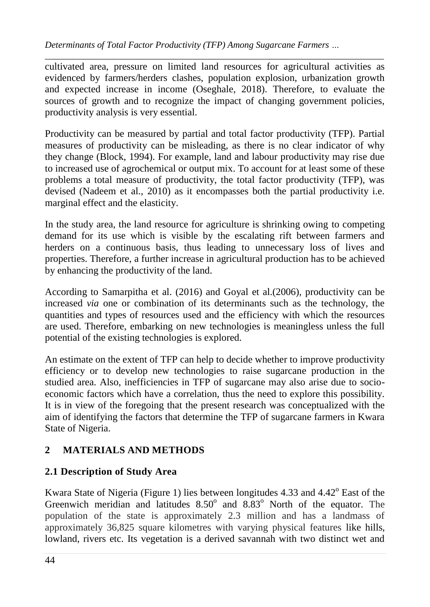*\_\_\_\_\_\_\_\_\_\_\_\_\_\_\_\_\_\_\_\_\_\_\_\_\_\_\_\_\_\_\_\_\_\_\_\_\_\_\_\_\_\_\_\_\_\_\_\_\_\_\_\_\_\_\_\_\_\_\_\_\_\_\_\_\_\_\_\_\_\_\_\_\_\_* cultivated area, pressure on limited land resources for agricultural activities as evidenced by farmers/herders clashes, population explosion, urbanization growth and expected increase in income (Oseghale, 2018). Therefore, to evaluate the sources of growth and to recognize the impact of changing government policies, productivity analysis is very essential.

Productivity can be measured by partial and total factor productivity (TFP). Partial measures of productivity can be misleading, as there is no clear indicator of why they change (Block, 1994). For example, land and labour productivity may rise due to increased use of agrochemical or output mix. To account for at least some of these problems a total measure of productivity, the total factor productivity (TFP), was devised (Nadeem et al., 2010) as it encompasses both the partial productivity i.e. marginal effect and the elasticity.

In the study area, the land resource for agriculture is shrinking owing to competing demand for its use which is visible by the escalating rift between farmers and herders on a continuous basis, thus leading to unnecessary loss of lives and properties. Therefore, a further increase in agricultural production has to be achieved by enhancing the productivity of the land.

According to Samarpitha et al. (2016) and Goyal et al.(2006), productivity can be increased *via* one or combination of its determinants such as the technology, the quantities and types of resources used and the efficiency with which the resources are used. Therefore, embarking on new technologies is meaningless unless the full potential of the existing technologies is explored.

An estimate on the extent of TFP can help to decide whether to improve productivity efficiency or to develop new technologies to raise sugarcane production in the studied area. Also, inefficiencies in TFP of sugarcane may also arise due to socioeconomic factors which have a correlation, thus the need to explore this possibility. It is in view of the foregoing that the present research was conceptualized with the aim of identifying the factors that determine the TFP of sugarcane farmers in Kwara State of Nigeria.

# **2 MATERIALS AND METHODS**

# **2.1 Description of Study Area**

Kwara State of Nigeria (Figure 1) lies between longitudes  $4.33$  and  $4.42^{\circ}$  East of the Greenwich meridian and latitudes  $8.50^{\circ}$  and  $8.83^{\circ}$  North of the equator. The population of the state is approximately 2.3 million and has a landmass of approximately 36,825 square kilometres with varying physical features like hills, lowland, rivers etc. Its vegetation is a derived savannah with two distinct wet and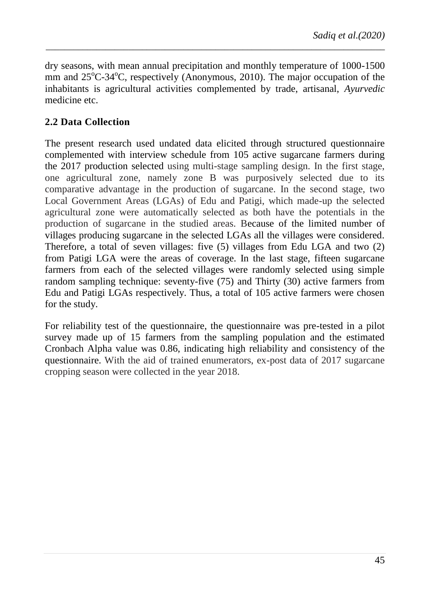dry seasons, with mean annual precipitation and monthly temperature of 1000-1500 mm and  $25^{\circ}$ C-34 $^{\circ}$ C, respectively (Anonymous, 2010). The major occupation of the inhabitants is agricultural activities complemented by trade, artisanal, *Ayurvedic* medicine etc.

*\_\_\_\_\_\_\_\_\_\_\_\_\_\_\_\_\_\_\_\_\_\_\_\_\_\_\_\_\_\_\_\_\_\_\_\_\_\_\_\_\_\_\_\_\_\_\_\_\_\_\_\_\_\_\_\_\_\_\_\_\_\_\_\_\_\_\_\_\_\_\_\_\_\_*

## **2.2 Data Collection**

The present research used undated data elicited through structured questionnaire complemented with interview schedule from 105 active sugarcane farmers during the 2017 production selected using multi-stage sampling design. In the first stage, one agricultural zone, namely zone B was purposively selected due to its comparative advantage in the production of sugarcane. In the second stage, two Local Government Areas (LGAs) of Edu and Patigi, which made-up the selected agricultural zone were automatically selected as both have the potentials in the production of sugarcane in the studied areas. Because of the limited number of villages producing sugarcane in the selected LGAs all the villages were considered. Therefore, a total of seven villages: five (5) villages from Edu LGA and two (2) from Patigi LGA were the areas of coverage. In the last stage, fifteen sugarcane farmers from each of the selected villages were randomly selected using simple random sampling technique: seventy-five (75) and Thirty (30) active farmers from Edu and Patigi LGAs respectively. Thus, a total of 105 active farmers were chosen for the study.

For reliability test of the questionnaire, the questionnaire was pre-tested in a pilot survey made up of 15 farmers from the sampling population and the estimated Cronbach Alpha value was 0.86, indicating high reliability and consistency of the questionnaire. With the aid of trained enumerators, ex-post data of 2017 sugarcane cropping season were collected in the year 2018.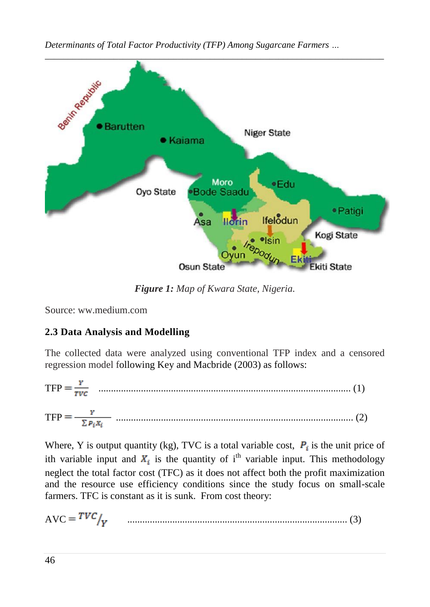*Determinants of Total Factor Productivity (TFP) Among Sugarcane Farmers …*



*Figure 1: Map of Kwara State, Nigeria.*

Source: ww.medium.com

# **2.3 Data Analysis and Modelling**

The collected data were analyzed using conventional TFP index and a censored regression model following Key and Macbride (2003) as follows:

TFP ..................................................................................................... (1)

TFP ............................................................................................... (2)

Where, Y is output quantity (kg), TVC is a total variable cost,  $P_i$  is the unit price of ith variable input and  $X_i$  is the quantity of i<sup>th</sup> variable input. This methodology neglect the total factor cost (TFC) as it does not affect both the profit maximization and the resource use efficiency conditions since the study focus on small-scale farmers. TFC is constant as it is sunk. From cost theory:

AVC ........................................................................................ (3)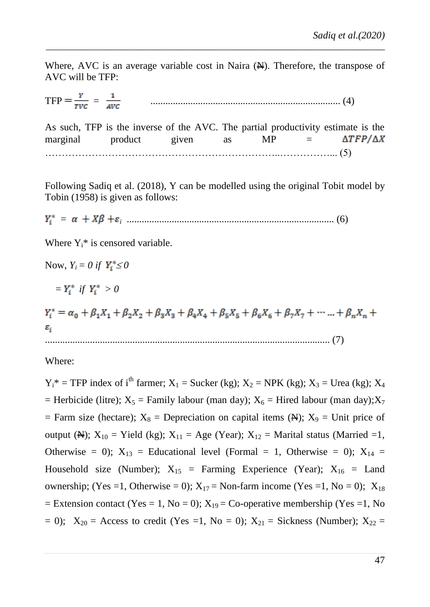Where, AVC is an average variable cost in Naira  $(\mathbb{H})$ . Therefore, the transpose of AVC will be TFP:

*\_\_\_\_\_\_\_\_\_\_\_\_\_\_\_\_\_\_\_\_\_\_\_\_\_\_\_\_\_\_\_\_\_\_\_\_\_\_\_\_\_\_\_\_\_\_\_\_\_\_\_\_\_\_\_\_\_\_\_\_\_\_\_\_\_\_\_\_\_\_\_\_\_\_*

TFP = ............................................................................ (4)

As such, TFP is the inverse of the AVC. The partial productivity estimate is the  $marginal$  product given as  $MP$  =  $\Delta TFP/\Delta X$ …………………………………………………………… …………… (5)

Following Sadiq et al. (2018), Y can be modelled using the original Tobit model by Tobin (1958) is given as follows:

 *= <sup>i</sup>* ................................................................................... (6)

Where  $Y_i^*$  is censored variable.

Now,  $Y_i = 0$  if  $Y_i^* \leq 0$ 

 $=Y_i^*$  *if*  $Y_i^* > 0$ 

 $Y_i^* = \alpha_0 + \beta_1 X_1 + \beta_2 X_2 + \beta_3 X_3 + \beta_4 X_4 + \beta_5 X_5 + \beta_6 X_6 + \beta_7 X_7 + \cdots + \beta_n X_n$  $\varepsilon^{\vphantom{\dagger}}_i$ .................................................................................................................. (7)

Where:

 $Y_i^*$  = TFP index of i<sup>th</sup> farmer;  $X_1$  = Sucker (kg);  $X_2$  = NPK (kg);  $X_3$  = Urea (kg);  $X_4$ = Herbicide (litre);  $X_5$  = Family labour (man day);  $X_6$  = Hired labour (man day);  $X_7$ = Farm size (hectare);  $X_8$  = Depreciation on capital items (N);  $X_9$  = Unit price of output (N);  $X_{10}$  = Yield (kg);  $X_{11}$  = Age (Year);  $X_{12}$  = Marital status (Married =1, Otherwise = 0);  $X_{13}$  = Educational level (Formal = 1, Otherwise = 0);  $X_{14}$  = Household size (Number);  $X_{15}$  = Farming Experience (Year);  $X_{16}$  = Land ownership; (Yes =1, Otherwise = 0);  $X_{17}$  = Non-farm income (Yes =1, No = 0);  $X_{18}$ = Extension contact (Yes = 1, No = 0);  $X_{19}$  = Co-operative membership (Yes =1, No  $= 0$ );  $X_{20}$  = Access to credit (Yes =1, No = 0);  $X_{21}$  = Sickness (Number);  $X_{22}$  =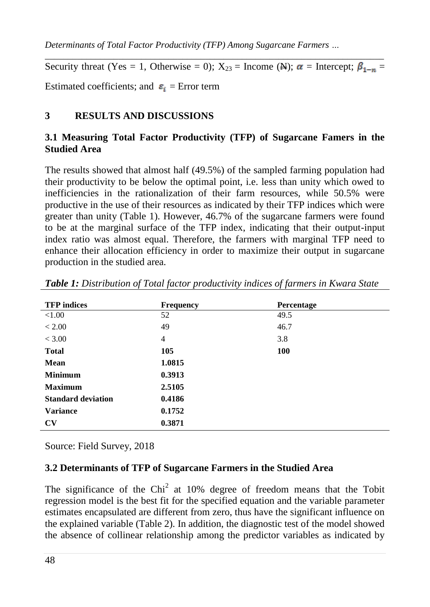*Determinants of Total Factor Productivity (TFP) Among Sugarcane Farmers …*

*\_\_\_\_\_\_\_\_\_\_\_\_\_\_\_\_\_\_\_\_\_\_\_\_\_\_\_\_\_\_\_\_\_\_\_\_\_\_\_\_\_\_\_\_\_\_\_\_\_\_\_\_\_\_\_\_\_\_\_\_\_\_\_\_\_\_\_\_\_\_\_\_\_\_* Security threat (Yes = 1, Otherwise = 0);  $X_{23}$  = Income (N);  $\alpha$  = Intercept;  $\beta_{1-n}$  =

Estimated coefficients; and  $\varepsilon_i$  = Error term

## **3 RESULTS AND DISCUSSIONS**

## **3.1 Measuring Total Factor Productivity (TFP) of Sugarcane Famers in the Studied Area**

The results showed that almost half (49.5%) of the sampled farming population had their productivity to be below the optimal point, i.e. less than unity which owed to inefficiencies in the rationalization of their farm resources, while 50.5% were productive in the use of their resources as indicated by their TFP indices which were greater than unity (Table 1). However, 46.7% of the sugarcane farmers were found to be at the marginal surface of the TFP index, indicating that their output-input index ratio was almost equal. Therefore, the farmers with marginal TFP need to enhance their allocation efficiency in order to maximize their output in sugarcane production in the studied area.

| <b>TFP</b> indices        | <b>Frequency</b> | Percentage |
|---------------------------|------------------|------------|
| ${<}1.00$                 | 52               | 49.5       |
| < 2.00                    | 49               | 46.7       |
| < 3.00                    | $\overline{4}$   | 3.8        |
| <b>Total</b>              | 105              | <b>100</b> |
| <b>Mean</b>               | 1.0815           |            |
| <b>Minimum</b>            | 0.3913           |            |
| <b>Maximum</b>            | 2.5105           |            |
| <b>Standard deviation</b> | 0.4186           |            |
| <b>Variance</b>           | 0.1752           |            |
| $\mathbf{C}\mathbf{V}$    | 0.3871           |            |

*Table 1: Distribution of Total factor productivity indices of farmers in Kwara State*

Source: Field Survey, 2018

### **3.2 Determinants of TFP of Sugarcane Farmers in the Studied Area**

The significance of the Chi<sup>2</sup> at 10% degree of freedom means that the Tobit regression model is the best fit for the specified equation and the variable parameter estimates encapsulated are different from zero, thus have the significant influence on the explained variable (Table 2). In addition, the diagnostic test of the model showed the absence of collinear relationship among the predictor variables as indicated by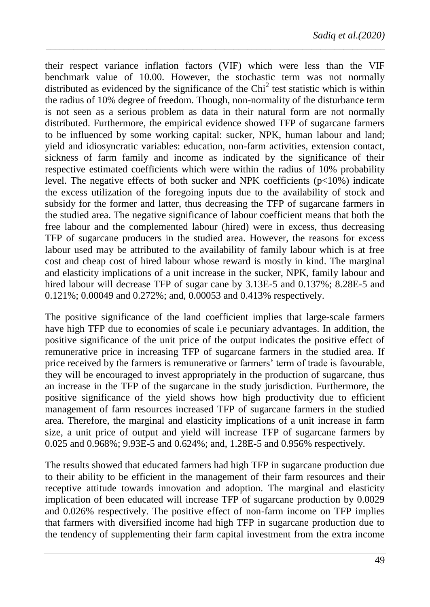their respect variance inflation factors (VIF) which were less than the VIF benchmark value of 10.00. However, the stochastic term was not normally distributed as evidenced by the significance of the  $Chi<sup>2</sup>$  test statistic which is within the radius of 10% degree of freedom. Though, non-normality of the disturbance term is not seen as a serious problem as data in their natural form are not normally distributed. Furthermore, the empirical evidence showed TFP of sugarcane farmers to be influenced by some working capital: sucker, NPK, human labour and land; yield and idiosyncratic variables: education, non-farm activities, extension contact, sickness of farm family and income as indicated by the significance of their respective estimated coefficients which were within the radius of 10% probability level. The negative effects of both sucker and NPK coefficients  $(p<10\%)$  indicate the excess utilization of the foregoing inputs due to the availability of stock and subsidy for the former and latter, thus decreasing the TFP of sugarcane farmers in the studied area. The negative significance of labour coefficient means that both the free labour and the complemented labour (hired) were in excess, thus decreasing TFP of sugarcane producers in the studied area. However, the reasons for excess labour used may be attributed to the availability of family labour which is at free cost and cheap cost of hired labour whose reward is mostly in kind. The marginal and elasticity implications of a unit increase in the sucker, NPK, family labour and hired labour will decrease TFP of sugar cane by 3.13E-5 and 0.137%; 8.28E-5 and 0.121%; 0.00049 and 0.272%; and, 0.00053 and 0.413% respectively.

*\_\_\_\_\_\_\_\_\_\_\_\_\_\_\_\_\_\_\_\_\_\_\_\_\_\_\_\_\_\_\_\_\_\_\_\_\_\_\_\_\_\_\_\_\_\_\_\_\_\_\_\_\_\_\_\_\_\_\_\_\_\_\_\_\_\_\_\_\_\_\_\_\_\_*

The positive significance of the land coefficient implies that large-scale farmers have high TFP due to economies of scale i.e pecuniary advantages. In addition, the positive significance of the unit price of the output indicates the positive effect of remunerative price in increasing TFP of sugarcane farmers in the studied area. If price received by the farmers is remunerative or farmers" term of trade is favourable, they will be encouraged to invest appropriately in the production of sugarcane, thus an increase in the TFP of the sugarcane in the study jurisdiction. Furthermore, the positive significance of the yield shows how high productivity due to efficient management of farm resources increased TFP of sugarcane farmers in the studied area. Therefore, the marginal and elasticity implications of a unit increase in farm size, a unit price of output and yield will increase TFP of sugarcane farmers by 0.025 and 0.968%; 9.93E-5 and 0.624%; and, 1.28E-5 and 0.956% respectively.

The results showed that educated farmers had high TFP in sugarcane production due to their ability to be efficient in the management of their farm resources and their receptive attitude towards innovation and adoption. The marginal and elasticity implication of been educated will increase TFP of sugarcane production by 0.0029 and 0.026% respectively. The positive effect of non-farm income on TFP implies that farmers with diversified income had high TFP in sugarcane production due to the tendency of supplementing their farm capital investment from the extra income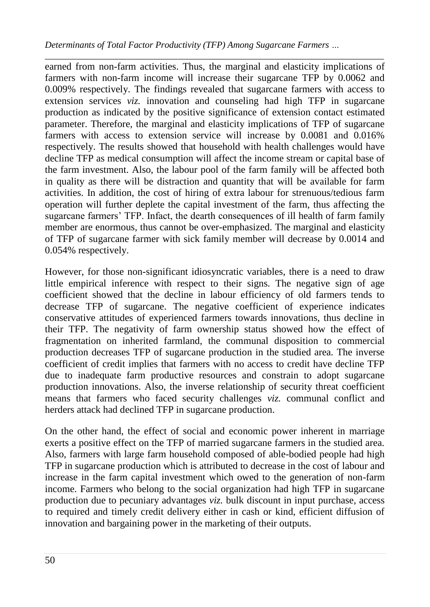*\_\_\_\_\_\_\_\_\_\_\_\_\_\_\_\_\_\_\_\_\_\_\_\_\_\_\_\_\_\_\_\_\_\_\_\_\_\_\_\_\_\_\_\_\_\_\_\_\_\_\_\_\_\_\_\_\_\_\_\_\_\_\_\_\_\_\_\_\_\_\_\_\_\_* earned from non-farm activities. Thus, the marginal and elasticity implications of farmers with non-farm income will increase their sugarcane TFP by 0.0062 and 0.009% respectively. The findings revealed that sugarcane farmers with access to extension services *viz.* innovation and counseling had high TFP in sugarcane production as indicated by the positive significance of extension contact estimated parameter. Therefore, the marginal and elasticity implications of TFP of sugarcane farmers with access to extension service will increase by 0.0081 and 0.016% respectively. The results showed that household with health challenges would have decline TFP as medical consumption will affect the income stream or capital base of the farm investment. Also, the labour pool of the farm family will be affected both in quality as there will be distraction and quantity that will be available for farm activities. In addition, the cost of hiring of extra labour for strenuous/tedious farm operation will further deplete the capital investment of the farm, thus affecting the sugarcane farmers' TFP. Infact, the dearth consequences of ill health of farm family member are enormous, thus cannot be over-emphasized. The marginal and elasticity of TFP of sugarcane farmer with sick family member will decrease by 0.0014 and 0.054% respectively.

However, for those non-significant idiosyncratic variables, there is a need to draw little empirical inference with respect to their signs. The negative sign of age coefficient showed that the decline in labour efficiency of old farmers tends to decrease TFP of sugarcane. The negative coefficient of experience indicates conservative attitudes of experienced farmers towards innovations, thus decline in their TFP. The negativity of farm ownership status showed how the effect of fragmentation on inherited farmland, the communal disposition to commercial production decreases TFP of sugarcane production in the studied area. The inverse coefficient of credit implies that farmers with no access to credit have decline TFP due to inadequate farm productive resources and constrain to adopt sugarcane production innovations. Also, the inverse relationship of security threat coefficient means that farmers who faced security challenges *viz.* communal conflict and herders attack had declined TFP in sugarcane production.

On the other hand, the effect of social and economic power inherent in marriage exerts a positive effect on the TFP of married sugarcane farmers in the studied area. Also, farmers with large farm household composed of able-bodied people had high TFP in sugarcane production which is attributed to decrease in the cost of labour and increase in the farm capital investment which owed to the generation of non-farm income. Farmers who belong to the social organization had high TFP in sugarcane production due to pecuniary advantages *viz.* bulk discount in input purchase, access to required and timely credit delivery either in cash or kind, efficient diffusion of innovation and bargaining power in the marketing of their outputs.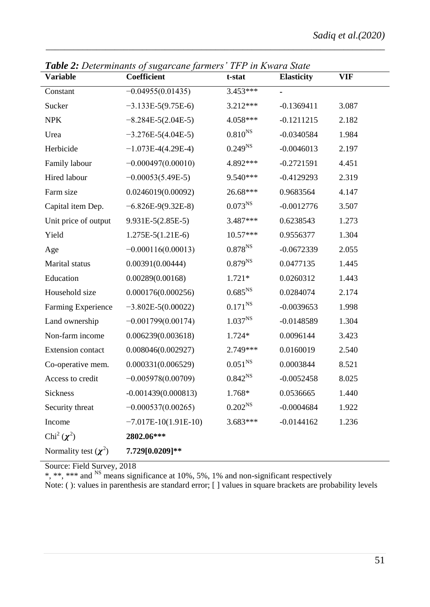| <b>Variable</b>             | <b>Tuble 2.</b> Determinants of sugarcane furniers<br>Coefficient | 11 1 <i>m Irma a Share</i><br>t-stat | <b>Elasticity</b> | <b>VIF</b> |
|-----------------------------|-------------------------------------------------------------------|--------------------------------------|-------------------|------------|
| Constant                    | $-0.04955(0.01435)$                                               | $3.453***$                           |                   |            |
| Sucker                      | $-3.133E-5(9.75E-6)$                                              | 3.212***                             | $-0.1369411$      | 3.087      |
| NPK                         | $-8.284E-5(2.04E-5)$                                              | 4.058***                             | $-0.1211215$      | 2.182      |
| Urea                        | $-3.276E - 5(4.04E - 5)$                                          | $0.810^{NS}$                         | $-0.0340584$      | 1.984      |
| Herbicide                   | $-1.073E-4(4.29E-4)$                                              | $0.249^{NS}$                         | $-0.0046013$      | 2.197      |
| Family labour               | $-0.000497(0.00010)$                                              | 4.892***                             | $-0.2721591$      | 4.451      |
| Hired labour                | $-0.00053(5.49E-5)$                                               | 9.540***                             | $-0.4129293$      | 2.319      |
| Farm size                   | 0.0246019(0.00092)                                                | 26.68***                             | 0.9683564         | 4.147      |
| Capital item Dep.           | $-6.826E-9(9.32E-8)$                                              | $0.073^{NS}$                         | $-0.0012776$      | 3.507      |
| Unit price of output        | 9.931E-5(2.85E-5)                                                 | 3.487***                             | 0.6238543         | 1.273      |
| Yield                       | $1.275E-5(1.21E-6)$                                               | 10.57***                             | 0.9556377         | 1.304      |
| Age                         | $-0.000116(0.00013)$                                              | $0.878^{NS}$                         | $-0.0672339$      | 2.055      |
| Marital status              | 0.00391(0.00444)                                                  | $0.879^{NS}$                         | 0.0477135         | 1.445      |
| Education                   | 0.00289(0.00168)                                                  | $1.721*$                             | 0.0260312         | 1.443      |
| Household size              | 0.000176(0.000256)                                                | $0.685^{\rm NS}$                     | 0.0284074         | 2.174      |
| Farming Experience          | $-3.802E - 5(0.00022)$                                            | $0.171^{NS}$                         | $-0.0039653$      | 1.998      |
| Land ownership              | $-0.001799(0.00174)$                                              | $1.037^{NS}$                         | $-0.0148589$      | 1.304      |
| Non-farm income             | 0.006239(0.003618)                                                | 1.724*                               | 0.0096144         | 3.423      |
| Extension contact           | 0.008046(0.002927)                                                | 2.749***                             | 0.0160019         | 2.540      |
| Co-operative mem.           | 0.000331(0.006529)                                                | $0.051^{\rm NS}$                     | 0.0003844         | 8.521      |
| Access to credit            | $-0.005978(0.00709)$                                              | $0.842^{NS}$                         | $-0.0052458$      | 8.025      |
| Sickness                    | $-0.001439(0.000813)$                                             | 1.768*                               | 0.0536665         | 1.440      |
| Security threat             | $-0.000537(0.00265)$                                              | $0.202^{NS}$                         | $-0.0004684$      | 1.922      |
| Income                      | $-7.017E-10(1.91E-10)$                                            | 3.683***                             | $-0.0144162$      | 1.236      |
| Chi <sup>2</sup> $(\chi^2)$ | 2802.06***                                                        |                                      |                   |            |
| Normality test $(\chi^2)$   | 7.729[0.0209]**                                                   |                                      |                   |            |

*Table 2: Determinants of sugarcane farmers' TFP in Kwara State*

*\_\_\_\_\_\_\_\_\_\_\_\_\_\_\_\_\_\_\_\_\_\_\_\_\_\_\_\_\_\_\_\_\_\_\_\_\_\_\_\_\_\_\_\_\_\_\_\_\_\_\_\_\_\_\_\_\_\_\_\_\_\_\_\_\_\_\_\_\_\_\_\_\_\_*

Source: Field Survey, 2018

\*, \*\*, \*\*\* and <sup>NS</sup> means significance at 10%, 5%, 1% and non-significant respectively

Note: ( ): values in parenthesis are standard error; [ ] values in square brackets are probability levels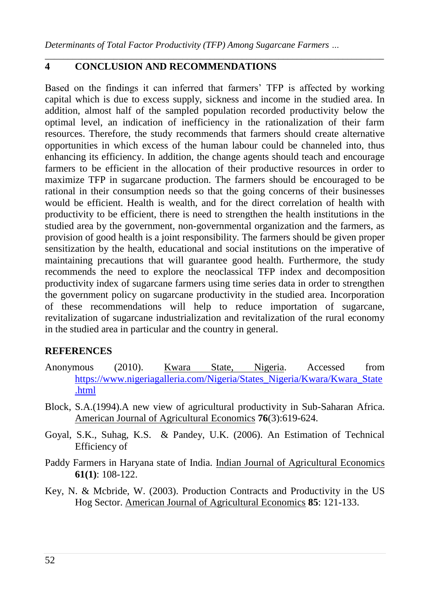*Determinants of Total Factor Productivity (TFP) Among Sugarcane Farmers …*

*\_\_\_\_\_\_\_\_\_\_\_\_\_\_\_\_\_\_\_\_\_\_\_\_\_\_\_\_\_\_\_\_\_\_\_\_\_\_\_\_\_\_\_\_\_\_\_\_\_\_\_\_\_\_\_\_\_\_\_\_\_\_\_\_\_\_\_\_\_\_\_\_\_\_*

### **4 CONCLUSION AND RECOMMENDATIONS**

Based on the findings it can inferred that farmers" TFP is affected by working capital which is due to excess supply, sickness and income in the studied area. In addition, almost half of the sampled population recorded productivity below the optimal level, an indication of inefficiency in the rationalization of their farm resources. Therefore, the study recommends that farmers should create alternative opportunities in which excess of the human labour could be channeled into, thus enhancing its efficiency. In addition, the change agents should teach and encourage farmers to be efficient in the allocation of their productive resources in order to maximize TFP in sugarcane production. The farmers should be encouraged to be rational in their consumption needs so that the going concerns of their businesses would be efficient. Health is wealth, and for the direct correlation of health with productivity to be efficient, there is need to strengthen the health institutions in the studied area by the government, non-governmental organization and the farmers, as provision of good health is a joint responsibility. The farmers should be given proper sensitization by the health, educational and social institutions on the imperative of maintaining precautions that will guarantee good health. Furthermore, the study recommends the need to explore the neoclassical TFP index and decomposition productivity index of sugarcane farmers using time series data in order to strengthen the government policy on sugarcane productivity in the studied area. Incorporation of these recommendations will help to reduce importation of sugarcane, revitalization of sugarcane industrialization and revitalization of the rural economy in the studied area in particular and the country in general.

### **REFERENCES**

- Anonymous (2010). Kwara State, Nigeria. Accessed from [https://www.nigeriagalleria.com/Nigeria/States\\_Nigeria/Kwara/Kwara\\_State](https://www.nigeriagalleria.com/Nigeria/States_Nigeria/Kwara/Kwara_State.html) [.html](https://www.nigeriagalleria.com/Nigeria/States_Nigeria/Kwara/Kwara_State.html)
- Block, S.A.(1994).A new view of agricultural productivity in Sub-Saharan Africa. American Journal of Agricultural Economics **76**(3):619-624.
- Goyal, S.K., Suhag, K.S. & Pandey, U.K. (2006). An Estimation of Technical Efficiency of
- Paddy Farmers in Haryana state of India. Indian Journal of Agricultural Economics **61(1)**: 108-122.
- Key, N. & Mcbride, W. (2003). Production Contracts and Productivity in the US Hog Sector. American Journal of Agricultural Economics **85**: 121-133.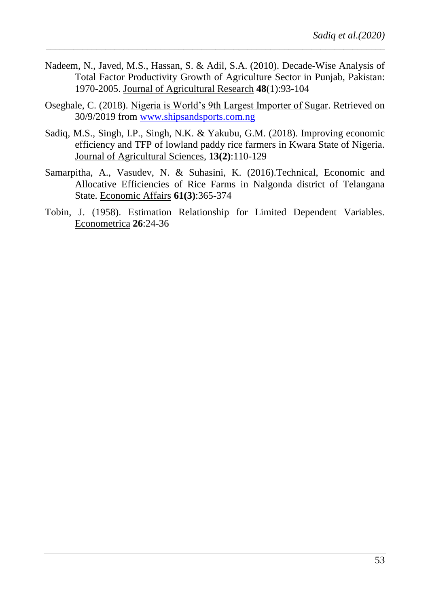Nadeem, N., Javed, M.S., Hassan, S. & Adil, S.A. (2010). Decade-Wise Analysis of Total Factor Productivity Growth of Agriculture Sector in Punjab, Pakistan: 1970-2005. Journal of Agricultural Research **48**(1):93-104

*\_\_\_\_\_\_\_\_\_\_\_\_\_\_\_\_\_\_\_\_\_\_\_\_\_\_\_\_\_\_\_\_\_\_\_\_\_\_\_\_\_\_\_\_\_\_\_\_\_\_\_\_\_\_\_\_\_\_\_\_\_\_\_\_\_\_\_\_\_\_\_\_\_\_*

- Oseghale, C. (2018). Nigeria is World"s 9th Largest Importer of Sugar. Retrieved on 30/9/2019 from [www.shipsandsports.com.ng](http://www.shipsandsports.com.ng/)
- Sadiq, M.S., Singh, I.P., Singh, N.K. & Yakubu, G.M. (2018). Improving economic efficiency and TFP of lowland paddy rice farmers in Kwara State of Nigeria. Journal of Agricultural Sciences, **13(2)**:110-129
- Samarpitha, A., Vasudev, N. & Suhasini, K. (2016).Technical, Economic and Allocative Efficiencies of Rice Farms in Nalgonda district of Telangana State. Economic Affairs **61(3)**:365-374
- Tobin, J. (1958). Estimation Relationship for Limited Dependent Variables. Econometrica **26**:24-36